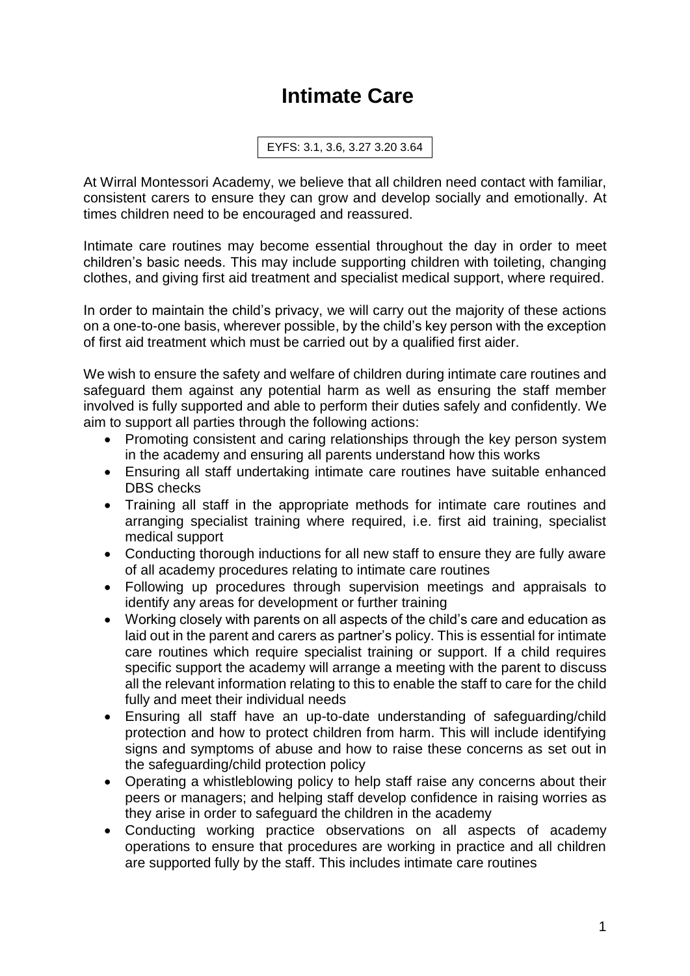## **Intimate Care**

EYFS: 3.1, 3.6, 3.27 3.20 3.64

At Wirral Montessori Academy, we believe that all children need contact with familiar, consistent carers to ensure they can grow and develop socially and emotionally. At times children need to be encouraged and reassured.

Intimate care routines may become essential throughout the day in order to meet children's basic needs. This may include supporting children with toileting, changing clothes, and giving first aid treatment and specialist medical support, where required.

In order to maintain the child's privacy, we will carry out the majority of these actions on a one-to-one basis, wherever possible, by the child's key person with the exception of first aid treatment which must be carried out by a qualified first aider.

We wish to ensure the safety and welfare of children during intimate care routines and safeguard them against any potential harm as well as ensuring the staff member involved is fully supported and able to perform their duties safely and confidently. We aim to support all parties through the following actions:

- Promoting consistent and caring relationships through the key person system in the academy and ensuring all parents understand how this works
- Ensuring all staff undertaking intimate care routines have suitable enhanced DBS checks
- Training all staff in the appropriate methods for intimate care routines and arranging specialist training where required, i.e. first aid training, specialist medical support
- Conducting thorough inductions for all new staff to ensure they are fully aware of all academy procedures relating to intimate care routines
- Following up procedures through supervision meetings and appraisals to identify any areas for development or further training
- Working closely with parents on all aspects of the child's care and education as laid out in the parent and carers as partner's policy. This is essential for intimate care routines which require specialist training or support. If a child requires specific support the academy will arrange a meeting with the parent to discuss all the relevant information relating to this to enable the staff to care for the child fully and meet their individual needs
- Ensuring all staff have an up-to-date understanding of safeguarding/child protection and how to protect children from harm. This will include identifying signs and symptoms of abuse and how to raise these concerns as set out in the safeguarding/child protection policy
- Operating a whistleblowing policy to help staff raise any concerns about their peers or managers; and helping staff develop confidence in raising worries as they arise in order to safeguard the children in the academy
- Conducting working practice observations on all aspects of academy operations to ensure that procedures are working in practice and all children are supported fully by the staff. This includes intimate care routines